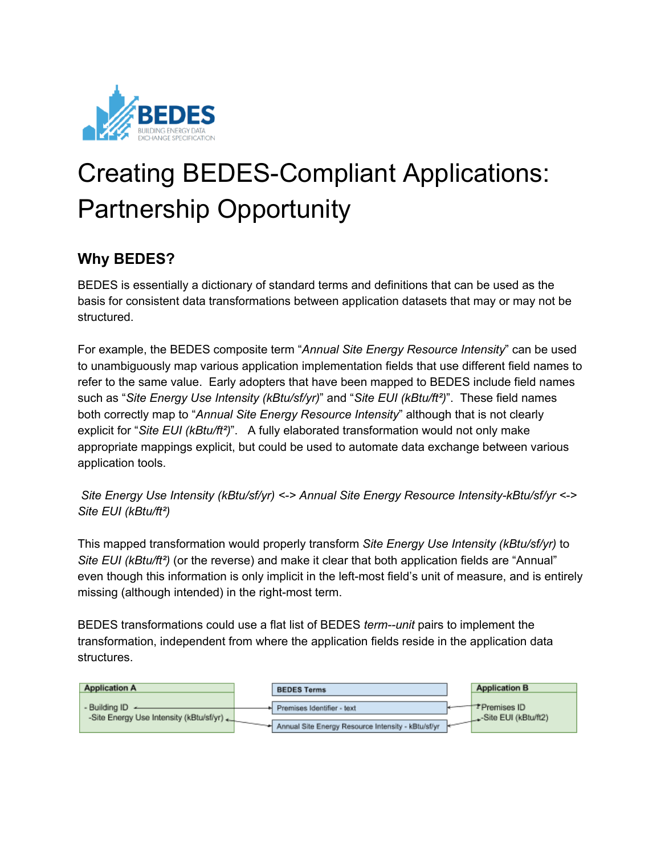

# Creating BEDES-Compliant Applications: Partnership Opportunity

## **Why BEDES?**

BEDES is essentially a dictionary of standard terms and definitions that can be used as the basis for consistent data transformations between application datasets that may or may not be structured.

For example, the BEDES composite term "*Annual Site Energy Resource Intensity*" can be used to unambiguously map various application implementation fields that use different field names to refer to the same value. Early adopters that have been mapped to BEDES include field names such as "*Site Energy Use Intensity (kBtu/sf/yr)*" and "*Site EUI (kBtu/ft²)*". These field names both correctly map to "*Annual Site Energy Resource Intensity*" although that is not clearly explicit for "*Site EUI (kBtu/ft²)*". A fully elaborated transformation would not only make appropriate mappings explicit, but could be used to automate data exchange between various application tools.

*Site Energy Use Intensity (kBtu/sf/yr) <> Annual Site Energy Resource IntensitykBtu/sf/yr <> Site EUI (kBtu/ft²)*

This mapped transformation would properly transform *Site Energy Use Intensity (kBtu/sf/yr)* to *Site EUI (kBtu/ft²)* (or the reverse) and make it clear that both application fields are "Annual" even though this information is only implicit in the left-most field's unit of measure, and is entirely missing (although intended) in the right-most term.

BEDES transformations could use a flat list of BEDES *term--unit* pairs to implement the transformation, independent from where the application fields reside in the application data structures.

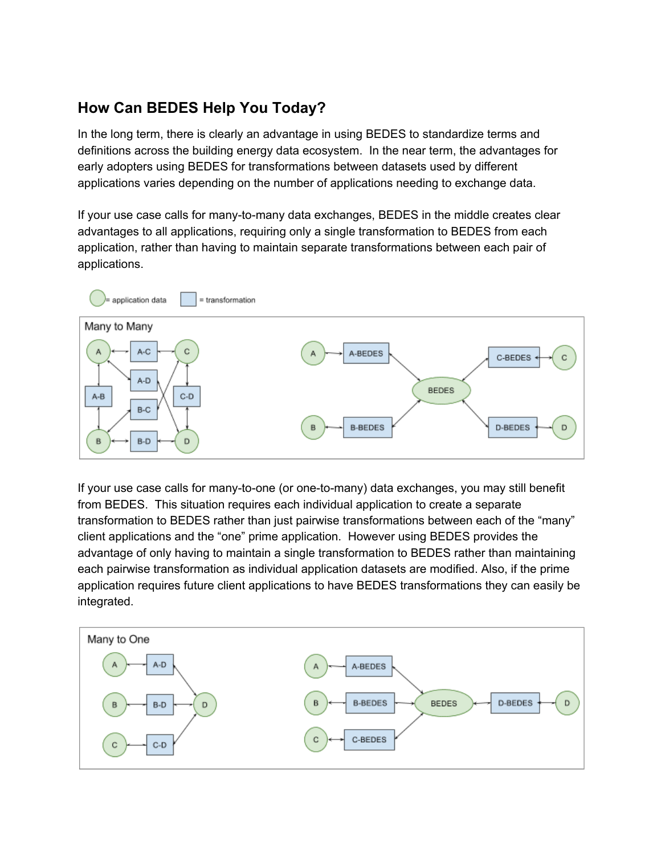# **How Can BEDES Help You Today?**

In the long term, there is clearly an advantage in using BEDES to standardize terms and definitions across the building energy data ecosystem. In the near term, the advantages for early adopters using BEDES for transformations between datasets used by different applications varies depending on the number of applications needing to exchange data.

If your use case calls for many-to-many data exchanges, BEDES in the middle creates clear advantages to all applications, requiring only a single transformation to BEDES from each application, rather than having to maintain separate transformations between each pair of applications.



If your use case calls for many-to-one (or one-to-many) data exchanges, you may still benefit from BEDES. This situation requires each individual application to create a separate transformation to BEDES rather than just pairwise transformations between each of the "many" client applications and the "one" prime application. However using BEDES provides the advantage of only having to maintain a single transformation to BEDES rather than maintaining each pairwise transformation as individual application datasets are modified. Also, if the prime application requires future client applications to have BEDES transformations they can easily be integrated.